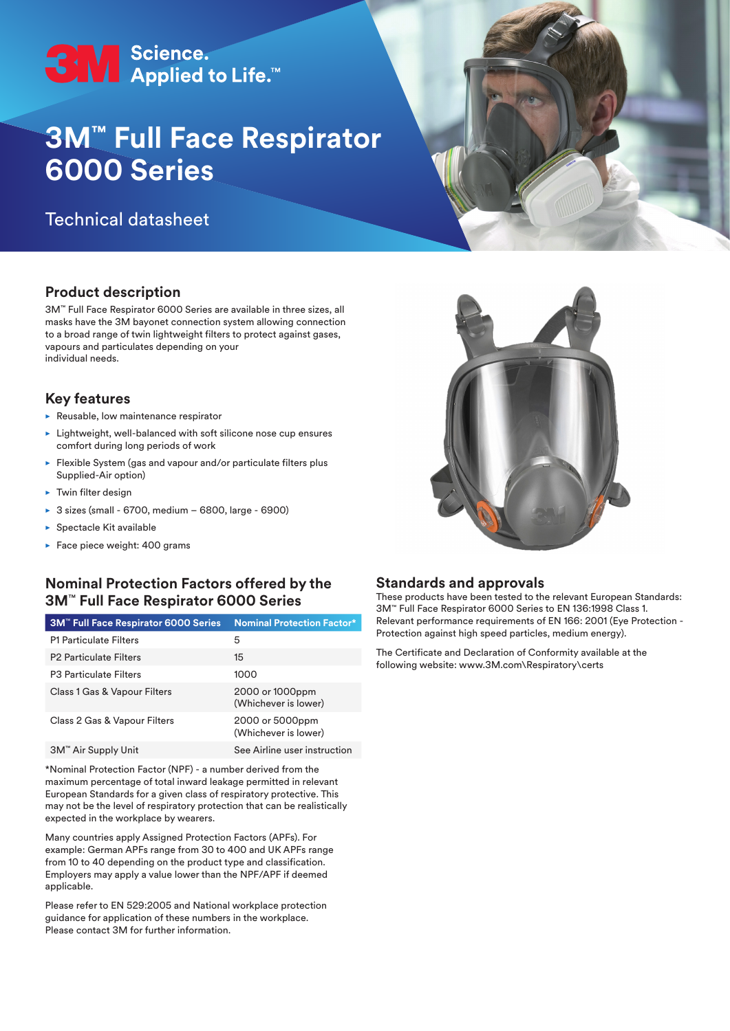

# **3M™ Full Face Respirator 6000 Series**

# Technical datasheet

# **Product description**

3M™ Full Face Respirator 6000 Series are available in three sizes, all masks have the 3M bayonet connection system allowing connection to a broad range of twin lightweight filters to protect against gases, vapours and particulates depending on your individual needs.

#### **Key features**

- $\blacktriangleright$  Reusable, low maintenance respirator
- $\blacktriangleright$  Lightweight, well-balanced with soft silicone nose cup ensures comfort during long periods of work
- $\blacktriangleright$  Flexible System (gas and vapour and/or particulate filters plus Supplied-Air option)
- $\blacktriangleright$  Twin filter design
- ▶ 3 sizes (small 6700, medium 6800, large 6900)
- $\blacktriangleright$  Spectacle Kit available
- $\blacktriangleright$  Face piece weight: 400 grams

# **Nominal Protection Factors offered by the 3M**™ **Full Face Respirator 6000 Series**

| 3M <sup>™</sup> Full Face Respirator 6000 Series | <b>Nominal Protection Factor*</b>       |
|--------------------------------------------------|-----------------------------------------|
| <b>P1 Particulate Filters</b>                    | 5                                       |
| <b>P2 Particulate Filters</b>                    | 15                                      |
| <b>P3 Particulate Filters</b>                    | 1000                                    |
| Class 1 Gas & Vapour Filters                     | 2000 or 1000ppm<br>(Whichever is lower) |
| Class 2 Gas & Vapour Filters                     | 2000 or 5000ppm<br>(Whichever is lower) |
| 3M™ Air Supply Unit                              | See Airline user instruction            |

\*Nominal Protection Factor (NPF) - a number derived from the maximum percentage of total inward leakage permitted in relevant European Standards for a given class of respiratory protective. This may not be the level of respiratory protection that can be realistically expected in the workplace by wearers.

Many countries apply Assigned Protection Factors (APFs). For example: German APFs range from 30 to 400 and UK APFs range from 10 to 40 depending on the product type and classification. Employers may apply a value lower than the NPF/APF if deemed applicable.

Please refer to EN 529:2005 and National workplace protection guidance for application of these numbers in the workplace. Please contact 3M for further information.



#### **Standards and approvals**

These products have been tested to the relevant European Standards: 3M™ Full Face Respirator 6000 Series to EN 136:1998 Class 1. Relevant performance requirements of EN 166: 2001 (Eye Protection - Protection against high speed particles, medium energy).

The Certificate and Declaration of Conformity available at the following website: www.3M.com\Respiratory\certs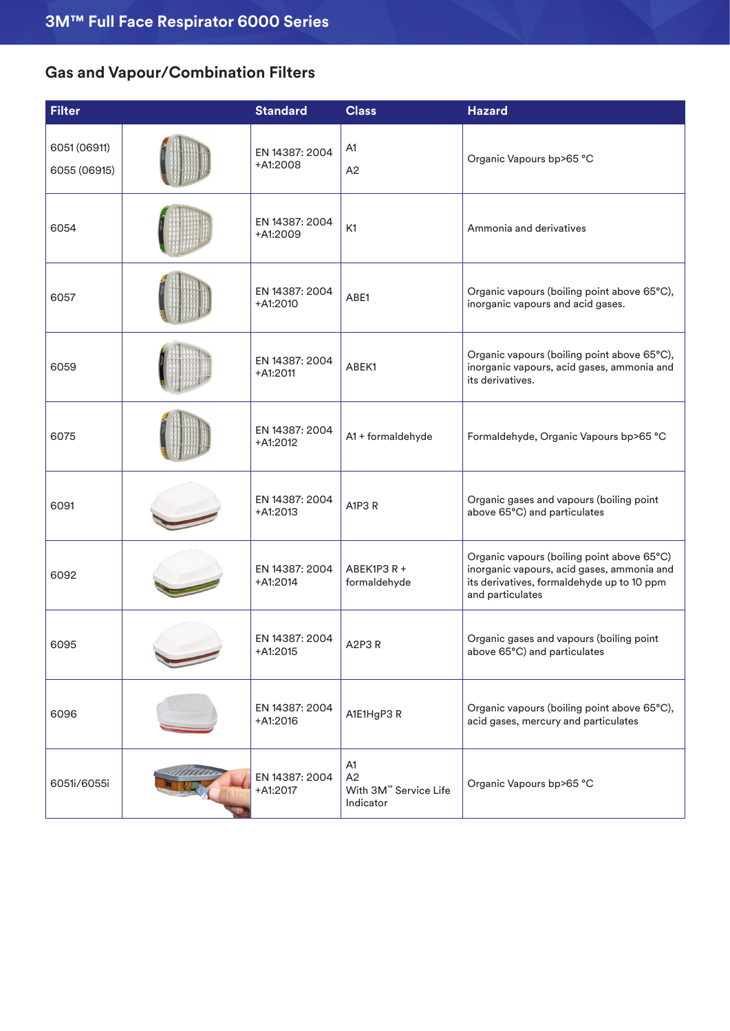# **Gas and Vapour/Combination Filters**

| <b>Filter</b>                | <b>Standard</b>              | <b>Class</b>                                   | <b>Hazard</b>                                                                                                                                              |
|------------------------------|------------------------------|------------------------------------------------|------------------------------------------------------------------------------------------------------------------------------------------------------------|
| 6051 (06911)<br>6055 (06915) | EN 14387: 2004<br>+A1:2008   | A <sub>1</sub><br>A <sub>2</sub>               | Organic Vapours bp>65 °C                                                                                                                                   |
| 6054                         | EN 14387: 2004<br>+A1:2009   | K <sub>1</sub>                                 | Ammonia and derivatives                                                                                                                                    |
| 6057                         | EN 14387: 2004<br>$+A1:2010$ | ABE1                                           | Organic vapours (boiling point above 65°C),<br>inorganic vapours and acid gases.                                                                           |
| 6059                         | EN 14387: 2004<br>$+A1:2011$ | ABEK1                                          | Organic vapours (boiling point above 65°C),<br>inorganic vapours, acid gases, ammonia and<br>its derivatives.                                              |
| 6075                         | EN 14387: 2004<br>+A1:2012   | A1 + formaldehyde                              | Formaldehyde, Organic Vapours bp>65 °C                                                                                                                     |
| 6091                         | EN 14387: 2004<br>+A1:2013   | A1P3R                                          | Organic gases and vapours (boiling point<br>above 65°C) and particulates                                                                                   |
| 6092                         | EN 14387: 2004<br>+A1:2014   | ABEK1P3 R +<br>formaldehyde                    | Organic vapours (boiling point above 65°C)<br>inorganic vapours, acid gases, ammonia and<br>its derivatives, formaldehyde up to 10 ppm<br>and particulates |
| 6095                         | EN 14387: 2004<br>+A1:2015   | A2P3R                                          | Organic gases and vapours (boiling point<br>above 65°C) and particulates                                                                                   |
| 6096                         | EN 14387: 2004<br>+A1:2016   | A1E1HgP3 R                                     | Organic vapours (boiling point above 65°C),<br>acid gases, mercury and particulates                                                                        |
| 6051i/6055i                  | EN 14387: 2004<br>+A1:2017   | A1<br>A2<br>With 3M™ Service Life<br>Indicator | Organic Vapours bp>65 °C                                                                                                                                   |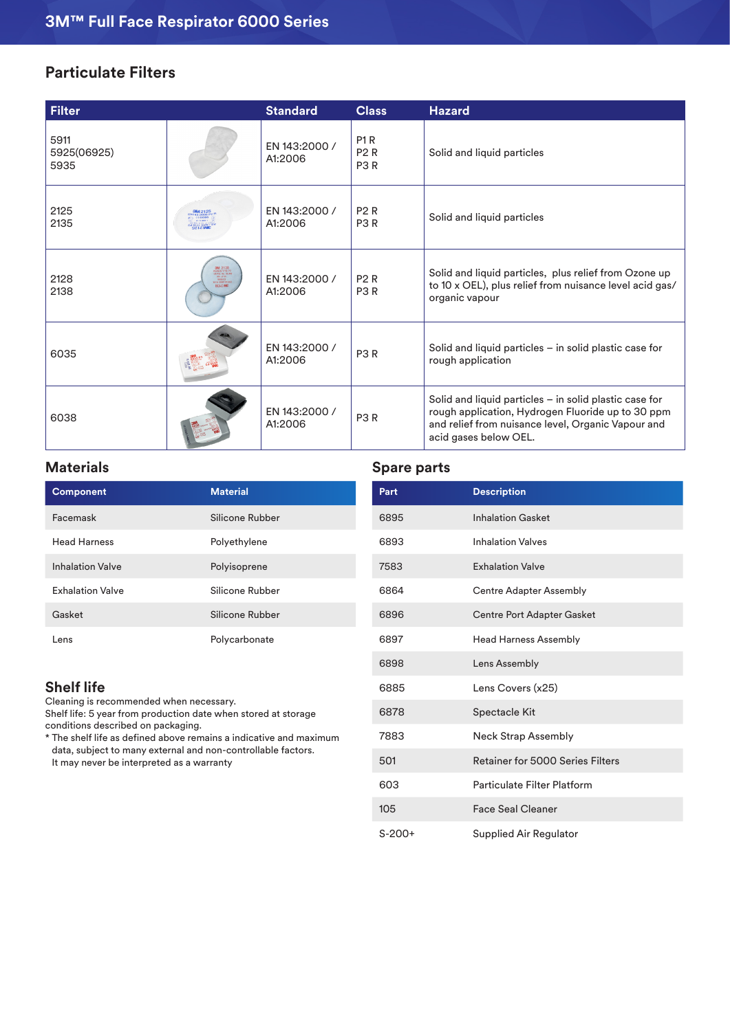# **Particulate Filters**

| <b>Filter</b>               |                                                                | <b>Standard</b>          | <b>Class</b>                                       | <b>Hazard</b>                                                                                                                                                                                |
|-----------------------------|----------------------------------------------------------------|--------------------------|----------------------------------------------------|----------------------------------------------------------------------------------------------------------------------------------------------------------------------------------------------|
| 5911<br>5925(06925)<br>5935 |                                                                | EN 143:2000 /<br>A1:2006 | P <sub>1</sub> R<br><b>P2R</b><br>P <sub>3</sub> R | Solid and liquid particles                                                                                                                                                                   |
| 2125<br>2135                | <b>WW2125</b>                                                  | EN 143:2000 /<br>A1:2006 | <b>P2R</b><br>P <sub>3</sub> R                     | Solid and liquid particles                                                                                                                                                                   |
| 2128<br>2138                | 3M 2138<br>MSA2S 1716 P3<br>US Pet Re. 35,95<br><b>SELS ME</b> | EN 143:2000 /<br>A1:2006 | <b>P2R</b><br>P <sub>3</sub> R                     | Solid and liquid particles, plus relief from Ozone up<br>to 10 x OEL), plus relief from nuisance level acid gas/<br>organic vapour                                                           |
| 6035                        |                                                                | EN 143:2000 /<br>A1:2006 | P <sub>3</sub> R                                   | Solid and liquid particles - in solid plastic case for<br>rough application                                                                                                                  |
| 6038                        |                                                                | EN 143:2000 /<br>A1:2006 | P <sub>3</sub> R                                   | Solid and liquid particles $-$ in solid plastic case for<br>rough application, Hydrogen Fluoride up to 30 ppm<br>and relief from nuisance level, Organic Vapour and<br>acid gases below OEL. |

# **Materials**

| <b>Component</b>        | <b>Material</b> |
|-------------------------|-----------------|
| Facemask                | Silicone Rubber |
| <b>Head Harness</b>     | Polyethylene    |
| <b>Inhalation Valve</b> | Polyisoprene    |
| <b>Exhalation Valve</b> | Silicone Rubber |
| Gasket                  | Silicone Rubber |
| Lens                    | Polycarbonate   |

# **Shelf life**

Cleaning is recommended when necessary. Shelf life: 5 year from production date when stored at storage conditions described on packaging.

\* The shelf life as defined above remains a indicative and maximum data, subject to many external and non-controllable factors. It may never be interpreted as a warranty

# **Spare parts**

| Part     | <b>Description</b>                |
|----------|-----------------------------------|
| 6895     | <b>Inhalation Gasket</b>          |
| 6893     | <b>Inhalation Valves</b>          |
| 7583     | <b>Exhalation Valve</b>           |
| 6864     | <b>Centre Adapter Assembly</b>    |
| 6896     | <b>Centre Port Adapter Gasket</b> |
| 6897     | <b>Head Harness Assembly</b>      |
| 6898     | Lens Assembly                     |
| 6885     | Lens Covers (x25)                 |
| 6878     | Spectacle Kit                     |
| 7883     | <b>Neck Strap Assembly</b>        |
| 501      | Retainer for 5000 Series Filters  |
| 603      | Particulate Filter Platform       |
| 105      | <b>Face Seal Cleaner</b>          |
| $S-200+$ | Supplied Air Regulator            |